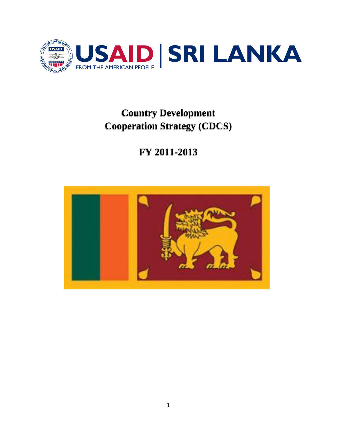

# **Country Development Cooperation Strategy (CDCS)**

# **FY 2011-2013**

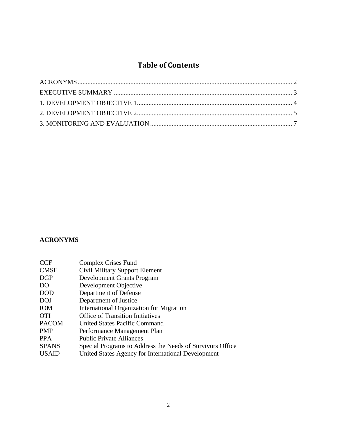# **Table of Contents**

<span id="page-1-0"></span>

## **ACRONYMS**

| CCF   | <b>Complex Crises Fund</b>                                |
|-------|-----------------------------------------------------------|
| CMSE  | Civil Military Support Element                            |
| DGP   | Development Grants Program                                |
| DO    | Development Objective                                     |
| DOD   | Department of Defense                                     |
| DOJ   | Department of Justice                                     |
| IOM   | <b>International Organization for Migration</b>           |
| OTI   | <b>Office of Transition Initiatives</b>                   |
| PACOM | <b>United States Pacific Command</b>                      |
| PMP   | Performance Management Plan                               |
| PPA   | <b>Public Private Alliances</b>                           |
| SPANS | Special Programs to Address the Needs of Survivors Office |
| USAID | United States Agency for International Development        |
|       |                                                           |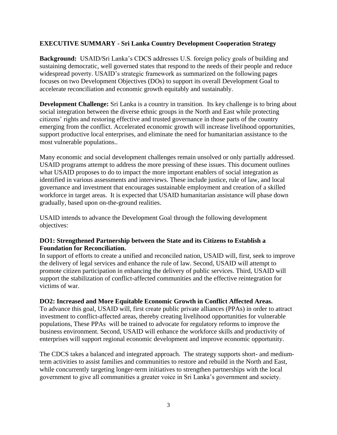### <span id="page-2-0"></span>**EXECUTIVE SUMMARY - Sri Lanka Country Development Cooperation Strategy**

**Background:** USAID/Sri Lanka's CDCS addresses U.S. foreign policy goals of building and sustaining democratic, well governed states that respond to the needs of their people and reduce widespread poverty. USAID's strategic framework as summarized on the following pages focuses on two Development Objectives (DOs) to support its overall Development Goal to accelerate reconciliation and economic growth equitably and sustainably.

**Development Challenge:** Sri Lanka is a country in transition. Its key challenge is to bring about social integration between the diverse ethnic groups in the North and East while protecting citizens' rights and restoring effective and trusted governance in those parts of the country emerging from the conflict. Accelerated economic growth will increase livelihood opportunities, support productive local enterprises, and eliminate the need for humanitarian assistance to the most vulnerable populations..

Many economic and social development challenges remain unsolved or only partially addressed. USAID programs attempt to address the more pressing of these issues. This document outlines what USAID proposes to do to impact the more important enablers of social integration as identified in various assessments and interviews. These include justice, rule of law, and local governance and investment that encourages sustainable employment and creation of a skilled workforce in target areas. It is expected that USAID humanitarian assistance will phase down gradually, based upon on-the-ground realities.

USAID intends to advance the Development Goal through the following development objectives:

### **DO1: Strengthened Partnership between the State and its Citizens to Establish a Foundation for Reconciliation.**

In support of efforts to create a unified and reconciled nation, USAID will, first, seek to improve the delivery of legal services and enhance the rule of law. Second, USAID will attempt to promote citizen participation in enhancing the delivery of public services. Third, USAID will support the stabilization of conflict-affected communities and the effective reintegration for victims of war.

### **DO2: Increased and More Equitable Economic Growth in Conflict Affected Areas.**

To advance this goal, USAID will, first create public private alliances (PPAs) in order to attract investment to conflict-affected areas, thereby creating livelihood opportunities for vulnerable populations, These PPAs will be trained to advocate for regulatory reforms to improve the business environment. Second, USAID will enhance the workforce skills and productivity of enterprises will support regional economic development and improve economic opportunity.

The CDCS takes a balanced and integrated approach. The strategy supports short- and mediumterm activities to assist families and communities to restore and rebuild in the North and East, while concurrently targeting longer-term initiatives to strengthen partnerships with the local government to give all communities a greater voice in Sri Lanka's government and society.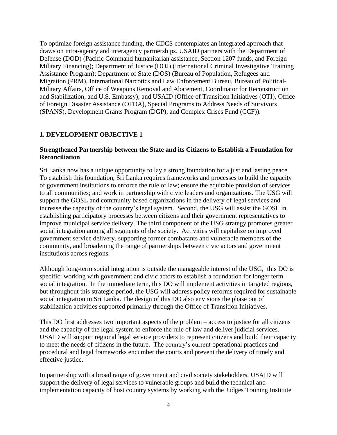To optimize foreign assistance funding, the CDCS contemplates an integrated approach that draws on intra-agency and interagency partnerships. USAID partners with the Department of Defense (DOD) (Pacific Command humanitarian assistance, Section 1207 funds, and Foreign Military Financing); Department of Justice (DOJ) (International Criminal Investigative Training Assistance Program); Department of State (DOS) (Bureau of Population, Refugees and Migration (PRM), International Narcotics and Law Enforcement Bureau, Bureau of Political-Military Affairs, Office of Weapons Removal and Abatement, Coordinator for Reconstruction and Stabilization, and U.S. Embassy); and USAID (Office of Transition Initiatives (OTI), Office of Foreign Disaster Assistance (OFDA), Special Programs to Address Needs of Survivors (SPANS), Development Grants Program (DGP), and Complex Crises Fund (CCF)).

#### <span id="page-3-0"></span>**1. DEVELOPMENT OBJECTIVE 1**

#### **Strengthened Partnership between the State and its Citizens to Establish a Foundation for Reconciliation**

Sri Lanka now has a unique opportunity to lay a strong foundation for a just and lasting peace. To establish this foundation, Sri Lanka requires frameworks and processes to build the capacity of government institutions to enforce the rule of law; ensure the equitable provision of services to all communities; and work in partnership with civic leaders and organizations. The USG will support the GOSL and community based organizations in the delivery of legal services and increase the capacity of the country's legal system. Second, the USG will assist the GOSL in establishing participatory processes between citizens and their government representatives to improve municipal service delivery. The third component of the USG strategy promotes greater social integration among all segments of the society. Activities will capitalize on improved government service delivery, supporting former combatants and vulnerable members of the community, and broadening the range of partnerships between civic actors and government institutions across regions.

Although long-term social integration is outside the manageable interest of the USG, this DO is specific: working with government and civic actors to establish a foundation for longer term social integration. In the immediate term, this DO will implement activities in targeted regions, but throughout this strategic period, the USG will address policy reforms required for sustainable social integration in Sri Lanka. The design of this DO also envisions the phase out of stabilization activities supported primarily through the Office of Transition Initiatives.

This DO first addresses two important aspects of the problem – access to justice for all citizens and the capacity of the legal system to enforce the rule of law and deliver judicial services. USAID will support regional legal service providers to represent citizens and build their capacity to meet the needs of citizens in the future. The country's current operational practices and procedural and legal frameworks encumber the courts and prevent the delivery of timely and effective justice.

In partnership with a broad range of government and civil society stakeholders, USAID will support the delivery of legal services to vulnerable groups and build the technical and implementation capacity of host country systems by working with the Judges Training Institute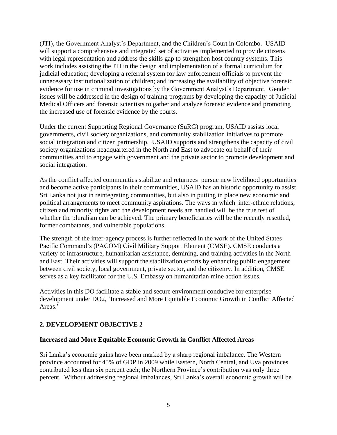(JTI), the Government Analyst's Department, and the Children's Court in Colombo. USAID will support a comprehensive and integrated set of activities implemented to provide citizens with legal representation and address the skills gap to strengthen host country systems. This work includes assisting the JTI in the design and implementation of a formal curriculum for judicial education; developing a referral system for law enforcement officials to prevent the unnecessary institutionalization of children; and increasing the availability of objective forensic evidence for use in criminal investigations by the Government Analyst's Department. Gender issues will be addressed in the design of training programs by developing the capacity of Judicial Medical Officers and forensic scientists to gather and analyze forensic evidence and promoting the increased use of forensic evidence by the courts.

Under the current Supporting Regional Governance (SuRG) program, USAID assists local governments, civil society organizations, and community stabilization initiatives to promote social integration and citizen partnership. USAID supports and strengthens the capacity of civil society organizations headquartered in the North and East to advocate on behalf of their communities and to engage with government and the private sector to promote development and social integration.

As the conflict affected communities stabilize and returnees pursue new livelihood opportunities and become active participants in their communities, USAID has an historic opportunity to assist Sri Lanka not just in reintegrating communities, but also in putting in place new economic and political arrangements to meet community aspirations. The ways in which inter-ethnic relations, citizen and minority rights and the development needs are handled will be the true test of whether the pluralism can be achieved. The primary beneficiaries will be the recently resettled, former combatants, and vulnerable populations.

The strength of the inter-agency process is further reflected in the work of the United States Pacific Command's (PACOM) Civil Military Support Element (CMSE). CMSE conducts a variety of infrastructure, humanitarian assistance, demining, and training activities in the North and East. Their activities will support the stabilization efforts by enhancing public engagement between civil society, local government, private sector, and the citizenry. In addition, CMSE serves as a key facilitator for the U.S. Embassy on humanitarian mine action issues.

Activities in this DO facilitate a stable and secure environment conducive for enterprise development under DO2, 'Increased and More Equitable Economic Growth in Conflict Affected Areas.'

### <span id="page-4-0"></span>**2. DEVELOPMENT OBJECTIVE 2**

#### **Increased and More Equitable Economic Growth in Conflict Affected Areas**

Sri Lanka's economic gains have been marked by a sharp regional imbalance. The Western province accounted for 45% of GDP in 2009 while Eastern, North Central, and Uva provinces contributed less than six percent each; the Northern Province's contribution was only three percent. Without addressing regional imbalances, Sri Lanka's overall economic growth will be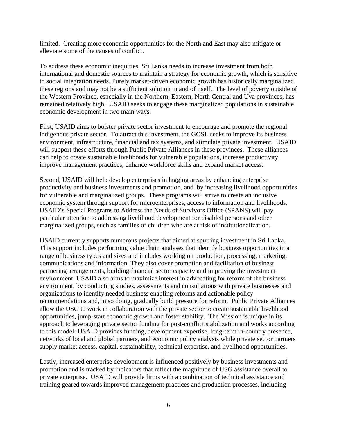limited. Creating more economic opportunities for the North and East may also mitigate or alleviate some of the causes of conflict.

To address these economic inequities, Sri Lanka needs to increase investment from both international and domestic sources to maintain a strategy for economic growth, which is sensitive to social integration needs. Purely market-driven economic growth has historically marginalized these regions and may not be a sufficient solution in and of itself. The level of poverty outside of the Western Province, especially in the Northern, Eastern, North Central and Uva provinces, has remained relatively high. USAID seeks to engage these marginalized populations in sustainable economic development in two main ways.

First, USAID aims to bolster private sector investment to encourage and promote the regional indigenous private sector. To attract this investment, the GOSL seeks to improve its business environment, infrastructure, financial and tax systems, and stimulate private investment. USAID will support these efforts through Public Private Alliances in these provinces. These alliances can help to create sustainable livelihoods for vulnerable populations, increase productivity, improve management practices, enhance workforce skills and expand market access.

Second, USAID will help develop enterprises in lagging areas by enhancing enterprise productivity and business investments and promotion, and by increasing livelihood opportunities for vulnerable and marginalized groups. These programs will strive to create an inclusive economic system through support for microenterprises, access to information and livelihoods. USAID's Special Programs to Address the Needs of Survivors Office (SPANS) will pay particular attention to addressing livelihood development for disabled persons and other marginalized groups, such as families of children who are at risk of institutionalization.

USAID currently supports numerous projects that aimed at spurring investment in Sri Lanka. This support includes performing value chain analyses that identify business opportunities in a range of business types and sizes and includes working on production, processing, marketing, communications and information. They also cover promotion and facilitation of business partnering arrangements, building financial sector capacity and improving the investment environment. USAID also aims to maximize interest in advocating for reform of the business environment, by conducting studies, assessments and consultations with private businesses and organizations to identify needed business enabling reforms and actionable policy recommendations and, in so doing, gradually build pressure for reform. Public Private Alliances allow the USG to work in collaboration with the private sector to create sustainable livelihood opportunities, jump-start economic growth and foster stability. The Mission is unique in its approach to leveraging private sector funding for post-conflict stabilization and works according to this model: USAID provides funding, development expertise, long-term in-country presence, networks of local and global partners, and economic policy analysis while private sector partners supply market access, capital, sustainability, technical expertise, and livelihood opportunities.

Lastly, increased enterprise development is influenced positively by business investments and promotion and is tracked by indicators that reflect the magnitude of USG assistance overall to private enterprise. USAID will provide firms with a combination of technical assistance and training geared towards improved management practices and production processes, including